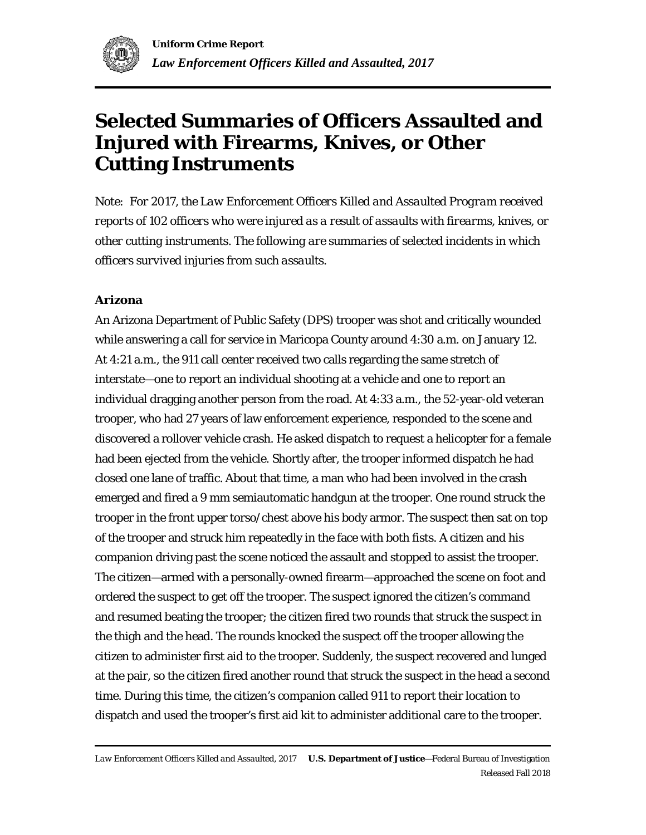

# **Selected Summaries of Officers Assaulted and Injured with Firearms, Knives, or Other Cutting Instruments**

*Note: For 2017, the Law Enforcement Officers Killed and Assaulted Program received reports of 102 officers who were injured as a result of assaults with firearms, knives, or other cutting instruments. The following are summaries of selected incidents in which officers survived injuries from such assaults.*

# **Arizona**

An Arizona Department of Public Safety (DPS) trooper was shot and critically wounded while answering a call for service in Maricopa County around 4:30 a.m. on January 12. At 4:21 a.m., the 911 call center received two calls regarding the same stretch of interstate—one to report an individual shooting at a vehicle and one to report an individual dragging another person from the road. At 4:33 a.m., the 52-year-old veteran trooper, who had 27 years of law enforcement experience, responded to the scene and discovered a rollover vehicle crash. He asked dispatch to request a helicopter for a female had been ejected from the vehicle. Shortly after, the trooper informed dispatch he had closed one lane of traffic. About that time, a man who had been involved in the crash emerged and fired a 9 mm semiautomatic handgun at the trooper. One round struck the trooper in the front upper torso/chest above his body armor. The suspect then sat on top of the trooper and struck him repeatedly in the face with both fists. A citizen and his companion driving past the scene noticed the assault and stopped to assist the trooper. The citizen—armed with a personally-owned firearm—approached the scene on foot and ordered the suspect to get off the trooper. The suspect ignored the citizen's command and resumed beating the trooper; the citizen fired two rounds that struck the suspect in the thigh and the head. The rounds knocked the suspect off the trooper allowing the citizen to administer first aid to the trooper. Suddenly, the suspect recovered and lunged at the pair, so the citizen fired another round that struck the suspect in the head a second time. During this time, the citizen's companion called 911 to report their location to dispatch and used the trooper's first aid kit to administer additional care to the trooper.

*Law Enforcement Officers Killed and Assaulted, 2017* **U.S. Department of Justice**—Federal Bureau of Investigation Released Fall 2018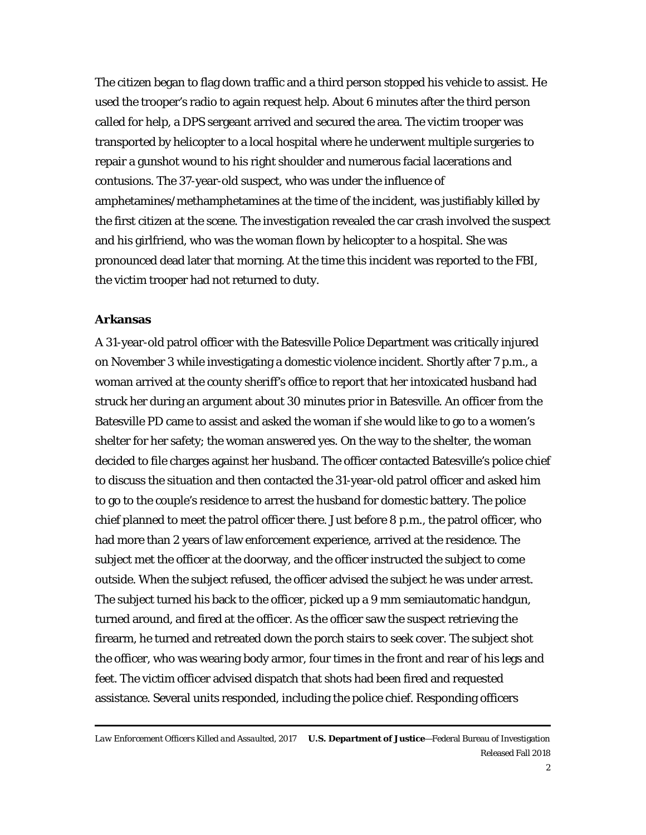The citizen began to flag down traffic and a third person stopped his vehicle to assist. He used the trooper's radio to again request help. About 6 minutes after the third person called for help, a DPS sergeant arrived and secured the area. The victim trooper was transported by helicopter to a local hospital where he underwent multiple surgeries to repair a gunshot wound to his right shoulder and numerous facial lacerations and contusions. The 37-year-old suspect, who was under the influence of amphetamines/methamphetamines at the time of the incident, was justifiably killed by the first citizen at the scene. The investigation revealed the car crash involved the suspect and his girlfriend, who was the woman flown by helicopter to a hospital. She was pronounced dead later that morning. At the time this incident was reported to the FBI, the victim trooper had not returned to duty.

#### **Arkansas**

A 31-year-old patrol officer with the Batesville Police Department was critically injured on November 3 while investigating a domestic violence incident. Shortly after 7 p.m., a woman arrived at the county sheriff's office to report that her intoxicated husband had struck her during an argument about 30 minutes prior in Batesville. An officer from the Batesville PD came to assist and asked the woman if she would like to go to a women's shelter for her safety; the woman answered yes. On the way to the shelter, the woman decided to file charges against her husband. The officer contacted Batesville's police chief to discuss the situation and then contacted the 31-year-old patrol officer and asked him to go to the couple's residence to arrest the husband for domestic battery. The police chief planned to meet the patrol officer there. Just before 8 p.m., the patrol officer, who had more than 2 years of law enforcement experience, arrived at the residence. The subject met the officer at the doorway, and the officer instructed the subject to come outside. When the subject refused, the officer advised the subject he was under arrest. The subject turned his back to the officer, picked up a 9 mm semiautomatic handgun, turned around, and fired at the officer. As the officer saw the suspect retrieving the firearm, he turned and retreated down the porch stairs to seek cover. The subject shot the officer, who was wearing body armor, four times in the front and rear of his legs and feet. The victim officer advised dispatch that shots had been fired and requested assistance. Several units responded, including the police chief. Responding officers

*Law Enforcement Officers Killed and Assaulted, 2017* **U.S. Department of Justice**—Federal Bureau of Investigation Released Fall 2018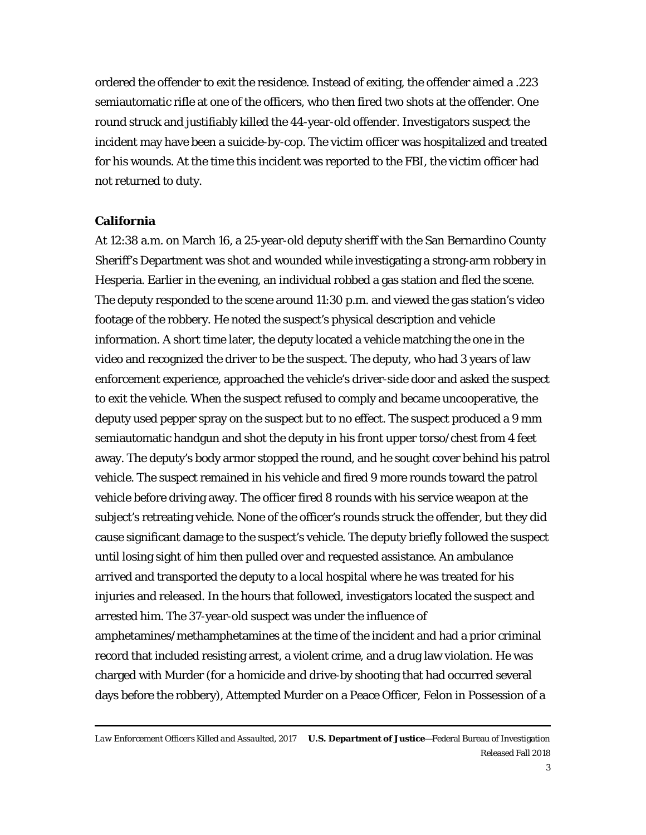ordered the offender to exit the residence. Instead of exiting, the offender aimed a .223 semiautomatic rifle at one of the officers, who then fired two shots at the offender. One round struck and justifiably killed the 44-year-old offender. Investigators suspect the incident may have been a suicide-by-cop. The victim officer was hospitalized and treated for his wounds. At the time this incident was reported to the FBI, the victim officer had not returned to duty.

#### **California**

At 12:38 a.m. on March 16, a 25-year-old deputy sheriff with the San Bernardino County Sheriff's Department was shot and wounded while investigating a strong-arm robbery in Hesperia. Earlier in the evening, an individual robbed a gas station and fled the scene. The deputy responded to the scene around 11:30 p.m. and viewed the gas station's video footage of the robbery. He noted the suspect's physical description and vehicle information. A short time later, the deputy located a vehicle matching the one in the video and recognized the driver to be the suspect. The deputy, who had 3 years of law enforcement experience, approached the vehicle's driver-side door and asked the suspect to exit the vehicle. When the suspect refused to comply and became uncooperative, the deputy used pepper spray on the suspect but to no effect. The suspect produced a 9 mm semiautomatic handgun and shot the deputy in his front upper torso/chest from 4 feet away. The deputy's body armor stopped the round, and he sought cover behind his patrol vehicle. The suspect remained in his vehicle and fired 9 more rounds toward the patrol vehicle before driving away. The officer fired 8 rounds with his service weapon at the subject's retreating vehicle. None of the officer's rounds struck the offender, but they did cause significant damage to the suspect's vehicle. The deputy briefly followed the suspect until losing sight of him then pulled over and requested assistance. An ambulance arrived and transported the deputy to a local hospital where he was treated for his injuries and released. In the hours that followed, investigators located the suspect and arrested him. The 37-year-old suspect was under the influence of amphetamines/methamphetamines at the time of the incident and had a prior criminal record that included resisting arrest, a violent crime, and a drug law violation. He was charged with Murder (for a homicide and drive-by shooting that had occurred several days before the robbery), Attempted Murder on a Peace Officer, Felon in Possession of a

*Law Enforcement Officers Killed and Assaulted, 2017* **U.S. Department of Justice**—Federal Bureau of Investigation Released Fall 2018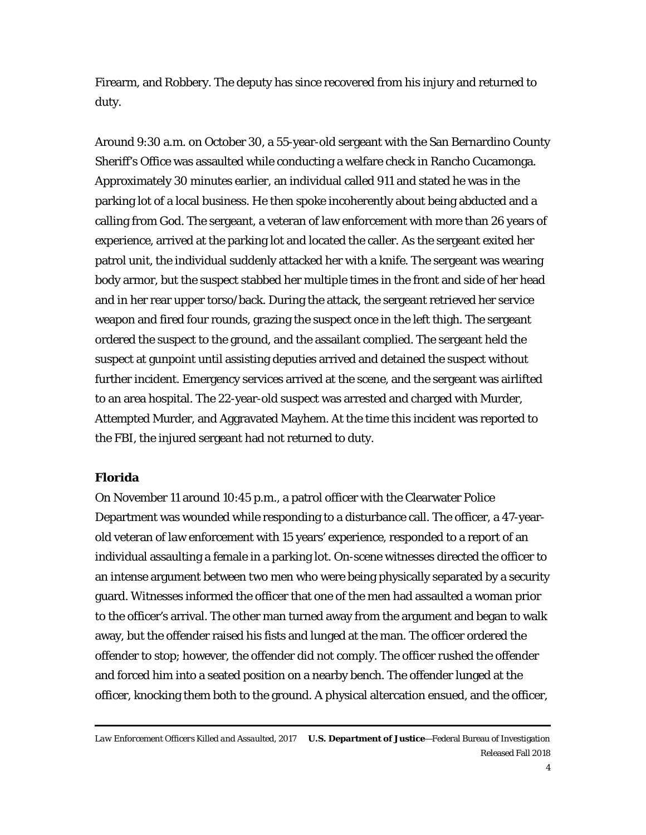Firearm, and Robbery. The deputy has since recovered from his injury and returned to duty.

Around 9:30 a.m. on October 30, a 55-year-old sergeant with the San Bernardino County Sheriff's Office was assaulted while conducting a welfare check in Rancho Cucamonga. Approximately 30 minutes earlier, an individual called 911 and stated he was in the parking lot of a local business. He then spoke incoherently about being abducted and a calling from God. The sergeant, a veteran of law enforcement with more than 26 years of experience, arrived at the parking lot and located the caller. As the sergeant exited her patrol unit, the individual suddenly attacked her with a knife. The sergeant was wearing body armor, but the suspect stabbed her multiple times in the front and side of her head and in her rear upper torso/back. During the attack, the sergeant retrieved her service weapon and fired four rounds, grazing the suspect once in the left thigh. The sergeant ordered the suspect to the ground, and the assailant complied. The sergeant held the suspect at gunpoint until assisting deputies arrived and detained the suspect without further incident. Emergency services arrived at the scene, and the sergeant was airlifted to an area hospital. The 22-year-old suspect was arrested and charged with Murder, Attempted Murder, and Aggravated Mayhem. At the time this incident was reported to the FBI, the injured sergeant had not returned to duty.

# **Florida**

On November 11 around 10:45 p.m., a patrol officer with the Clearwater Police Department was wounded while responding to a disturbance call. The officer, a 47-yearold veteran of law enforcement with 15 years' experience, responded to a report of an individual assaulting a female in a parking lot. On-scene witnesses directed the officer to an intense argument between two men who were being physically separated by a security guard. Witnesses informed the officer that one of the men had assaulted a woman prior to the officer's arrival. The other man turned away from the argument and began to walk away, but the offender raised his fists and lunged at the man. The officer ordered the offender to stop; however, the offender did not comply. The officer rushed the offender and forced him into a seated position on a nearby bench. The offender lunged at the officer, knocking them both to the ground. A physical altercation ensued, and the officer,

*Law Enforcement Officers Killed and Assaulted, 2017* **U.S. Department of Justice**—Federal Bureau of Investigation Released Fall 2018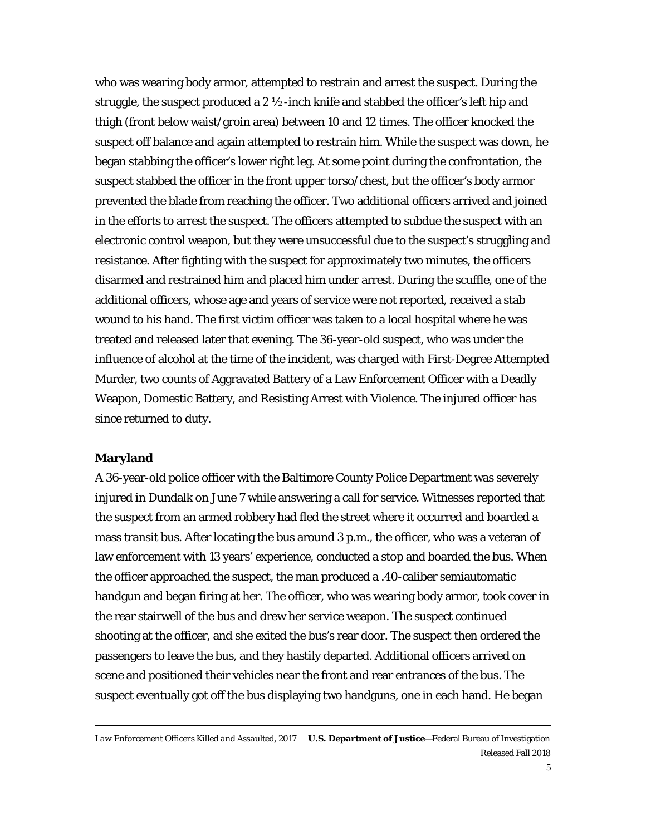who was wearing body armor, attempted to restrain and arrest the suspect. During the struggle, the suspect produced a 2  $\frac{1}{2}$ -inch knife and stabbed the officer's left hip and thigh (front below waist/groin area) between 10 and 12 times. The officer knocked the suspect off balance and again attempted to restrain him. While the suspect was down, he began stabbing the officer's lower right leg. At some point during the confrontation, the suspect stabbed the officer in the front upper torso/chest, but the officer's body armor prevented the blade from reaching the officer. Two additional officers arrived and joined in the efforts to arrest the suspect. The officers attempted to subdue the suspect with an electronic control weapon, but they were unsuccessful due to the suspect's struggling and resistance. After fighting with the suspect for approximately two minutes, the officers disarmed and restrained him and placed him under arrest. During the scuffle, one of the additional officers, whose age and years of service were not reported, received a stab wound to his hand. The first victim officer was taken to a local hospital where he was treated and released later that evening. The 36-year-old suspect, who was under the influence of alcohol at the time of the incident, was charged with First-Degree Attempted Murder, two counts of Aggravated Battery of a Law Enforcement Officer with a Deadly Weapon, Domestic Battery, and Resisting Arrest with Violence. The injured officer has since returned to duty.

#### **Maryland**

A 36-year-old police officer with the Baltimore County Police Department was severely injured in Dundalk on June 7 while answering a call for service. Witnesses reported that the suspect from an armed robbery had fled the street where it occurred and boarded a mass transit bus. After locating the bus around 3 p.m., the officer, who was a veteran of law enforcement with 13 years' experience, conducted a stop and boarded the bus. When the officer approached the suspect, the man produced a .40-caliber semiautomatic handgun and began firing at her. The officer, who was wearing body armor, took cover in the rear stairwell of the bus and drew her service weapon. The suspect continued shooting at the officer, and she exited the bus's rear door. The suspect then ordered the passengers to leave the bus, and they hastily departed. Additional officers arrived on scene and positioned their vehicles near the front and rear entrances of the bus. The suspect eventually got off the bus displaying two handguns, one in each hand. He began

*Law Enforcement Officers Killed and Assaulted, 2017* **U.S. Department of Justice**—Federal Bureau of Investigation Released Fall 2018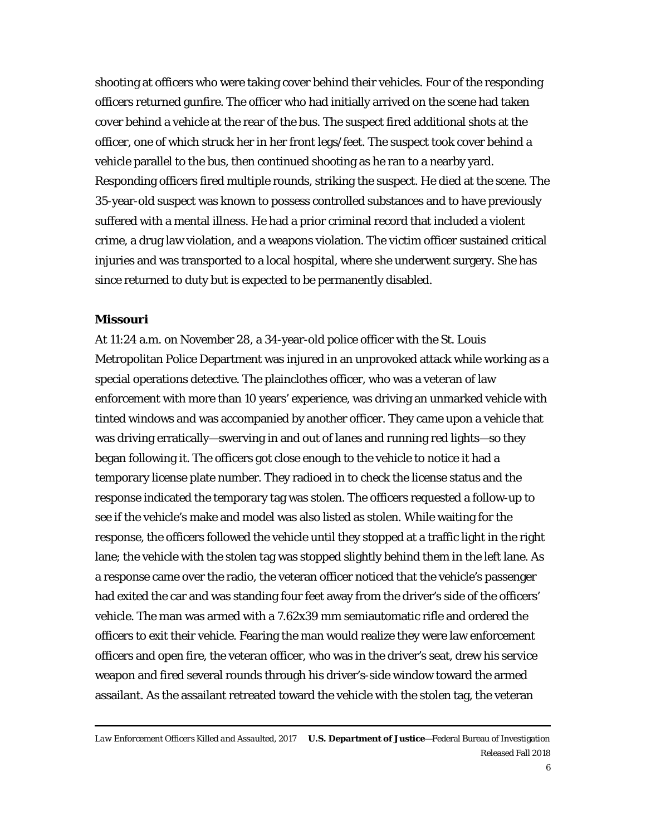shooting at officers who were taking cover behind their vehicles. Four of the responding officers returned gunfire. The officer who had initially arrived on the scene had taken cover behind a vehicle at the rear of the bus. The suspect fired additional shots at the officer, one of which struck her in her front legs/feet. The suspect took cover behind a vehicle parallel to the bus, then continued shooting as he ran to a nearby yard. Responding officers fired multiple rounds, striking the suspect. He died at the scene. The 35-year-old suspect was known to possess controlled substances and to have previously suffered with a mental illness. He had a prior criminal record that included a violent crime, a drug law violation, and a weapons violation. The victim officer sustained critical injuries and was transported to a local hospital, where she underwent surgery. She has since returned to duty but is expected to be permanently disabled.

# **Missouri**

At 11:24 a.m. on November 28, a 34-year-old police officer with the St. Louis Metropolitan Police Department was injured in an unprovoked attack while working as a special operations detective. The plainclothes officer, who was a veteran of law enforcement with more than 10 years' experience, was driving an unmarked vehicle with tinted windows and was accompanied by another officer. They came upon a vehicle that was driving erratically—swerving in and out of lanes and running red lights—so they began following it. The officers got close enough to the vehicle to notice it had a temporary license plate number. They radioed in to check the license status and the response indicated the temporary tag was stolen. The officers requested a follow-up to see if the vehicle's make and model was also listed as stolen. While waiting for the response, the officers followed the vehicle until they stopped at a traffic light in the right lane; the vehicle with the stolen tag was stopped slightly behind them in the left lane. As a response came over the radio, the veteran officer noticed that the vehicle's passenger had exited the car and was standing four feet away from the driver's side of the officers' vehicle. The man was armed with a 7.62x39 mm semiautomatic rifle and ordered the officers to exit their vehicle. Fearing the man would realize they were law enforcement officers and open fire, the veteran officer, who was in the driver's seat, drew his service weapon and fired several rounds through his driver's-side window toward the armed assailant. As the assailant retreated toward the vehicle with the stolen tag, the veteran

*Law Enforcement Officers Killed and Assaulted, 2017* **U.S. Department of Justice**—Federal Bureau of Investigation Released Fall 2018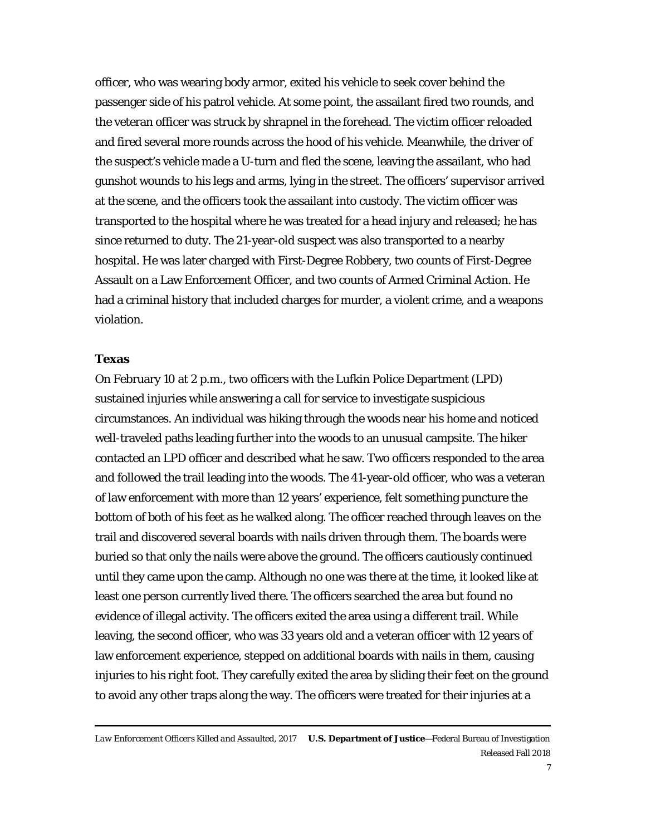officer, who was wearing body armor, exited his vehicle to seek cover behind the passenger side of his patrol vehicle. At some point, the assailant fired two rounds, and the veteran officer was struck by shrapnel in the forehead. The victim officer reloaded and fired several more rounds across the hood of his vehicle. Meanwhile, the driver of the suspect's vehicle made a U-turn and fled the scene, leaving the assailant, who had gunshot wounds to his legs and arms, lying in the street. The officers' supervisor arrived at the scene, and the officers took the assailant into custody. The victim officer was transported to the hospital where he was treated for a head injury and released; he has since returned to duty. The 21-year-old suspect was also transported to a nearby hospital. He was later charged with First-Degree Robbery, two counts of First-Degree Assault on a Law Enforcement Officer, and two counts of Armed Criminal Action. He had a criminal history that included charges for murder, a violent crime, and a weapons violation.

# **Texas**

On February 10 at 2 p.m., two officers with the Lufkin Police Department (LPD) sustained injuries while answering a call for service to investigate suspicious circumstances. An individual was hiking through the woods near his home and noticed well-traveled paths leading further into the woods to an unusual campsite. The hiker contacted an LPD officer and described what he saw. Two officers responded to the area and followed the trail leading into the woods. The 41-year-old officer, who was a veteran of law enforcement with more than 12 years' experience, felt something puncture the bottom of both of his feet as he walked along. The officer reached through leaves on the trail and discovered several boards with nails driven through them. The boards were buried so that only the nails were above the ground. The officers cautiously continued until they came upon the camp. Although no one was there at the time, it looked like at least one person currently lived there. The officers searched the area but found no evidence of illegal activity. The officers exited the area using a different trail. While leaving, the second officer, who was 33 years old and a veteran officer with 12 years of law enforcement experience, stepped on additional boards with nails in them, causing injuries to his right foot. They carefully exited the area by sliding their feet on the ground to avoid any other traps along the way. The officers were treated for their injuries at a

*Law Enforcement Officers Killed and Assaulted, 2017* **U.S. Department of Justice**—Federal Bureau of Investigation Released Fall 2018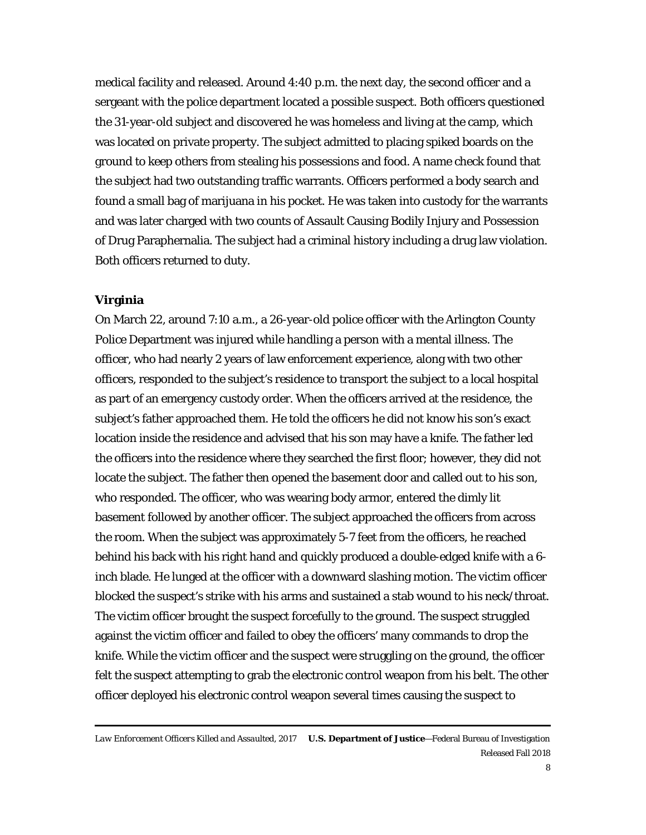medical facility and released. Around 4:40 p.m. the next day, the second officer and a sergeant with the police department located a possible suspect. Both officers questioned the 31-year-old subject and discovered he was homeless and living at the camp, which was located on private property. The subject admitted to placing spiked boards on the ground to keep others from stealing his possessions and food. A name check found that the subject had two outstanding traffic warrants. Officers performed a body search and found a small bag of marijuana in his pocket. He was taken into custody for the warrants and was later charged with two counts of Assault Causing Bodily Injury and Possession of Drug Paraphernalia. The subject had a criminal history including a drug law violation. Both officers returned to duty.

# **Virginia**

On March 22, around 7:10 a.m., a 26-year-old police officer with the Arlington County Police Department was injured while handling a person with a mental illness. The officer, who had nearly 2 years of law enforcement experience, along with two other officers, responded to the subject's residence to transport the subject to a local hospital as part of an emergency custody order. When the officers arrived at the residence, the subject's father approached them. He told the officers he did not know his son's exact location inside the residence and advised that his son may have a knife. The father led the officers into the residence where they searched the first floor; however, they did not locate the subject. The father then opened the basement door and called out to his son, who responded. The officer, who was wearing body armor, entered the dimly lit basement followed by another officer. The subject approached the officers from across the room. When the subject was approximately 5-7 feet from the officers, he reached behind his back with his right hand and quickly produced a double-edged knife with a 6 inch blade. He lunged at the officer with a downward slashing motion. The victim officer blocked the suspect's strike with his arms and sustained a stab wound to his neck/throat. The victim officer brought the suspect forcefully to the ground. The suspect struggled against the victim officer and failed to obey the officers' many commands to drop the knife. While the victim officer and the suspect were struggling on the ground, the officer felt the suspect attempting to grab the electronic control weapon from his belt. The other officer deployed his electronic control weapon several times causing the suspect to

*Law Enforcement Officers Killed and Assaulted, 2017* **U.S. Department of Justice**—Federal Bureau of Investigation Released Fall 2018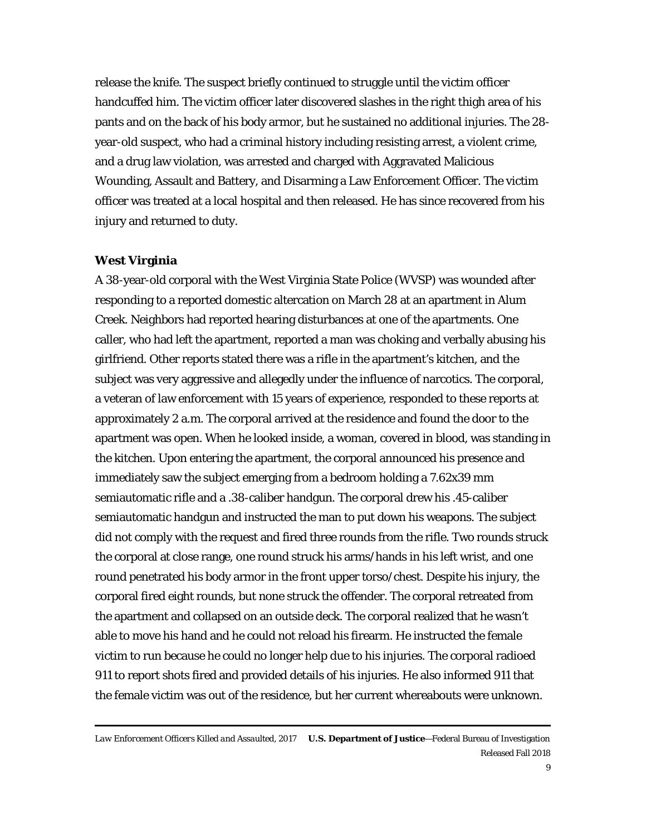release the knife. The suspect briefly continued to struggle until the victim officer handcuffed him. The victim officer later discovered slashes in the right thigh area of his pants and on the back of his body armor, but he sustained no additional injuries. The 28 year-old suspect, who had a criminal history including resisting arrest, a violent crime, and a drug law violation, was arrested and charged with Aggravated Malicious Wounding, Assault and Battery, and Disarming a Law Enforcement Officer. The victim officer was treated at a local hospital and then released. He has since recovered from his injury and returned to duty.

# **West Virginia**

A 38-year-old corporal with the West Virginia State Police (WVSP) was wounded after responding to a reported domestic altercation on March 28 at an apartment in Alum Creek. Neighbors had reported hearing disturbances at one of the apartments. One caller, who had left the apartment, reported a man was choking and verbally abusing his girlfriend. Other reports stated there was a rifle in the apartment's kitchen, and the subject was very aggressive and allegedly under the influence of narcotics. The corporal, a veteran of law enforcement with 15 years of experience, responded to these reports at approximately 2 a.m. The corporal arrived at the residence and found the door to the apartment was open. When he looked inside, a woman, covered in blood, was standing in the kitchen. Upon entering the apartment, the corporal announced his presence and immediately saw the subject emerging from a bedroom holding a 7.62x39 mm semiautomatic rifle and a .38-caliber handgun. The corporal drew his .45-caliber semiautomatic handgun and instructed the man to put down his weapons. The subject did not comply with the request and fired three rounds from the rifle. Two rounds struck the corporal at close range, one round struck his arms/hands in his left wrist, and one round penetrated his body armor in the front upper torso/chest. Despite his injury, the corporal fired eight rounds, but none struck the offender. The corporal retreated from the apartment and collapsed on an outside deck. The corporal realized that he wasn't able to move his hand and he could not reload his firearm. He instructed the female victim to run because he could no longer help due to his injuries. The corporal radioed 911 to report shots fired and provided details of his injuries. He also informed 911 that the female victim was out of the residence, but her current whereabouts were unknown.

*Law Enforcement Officers Killed and Assaulted, 2017* **U.S. Department of Justice**—Federal Bureau of Investigation Released Fall 2018